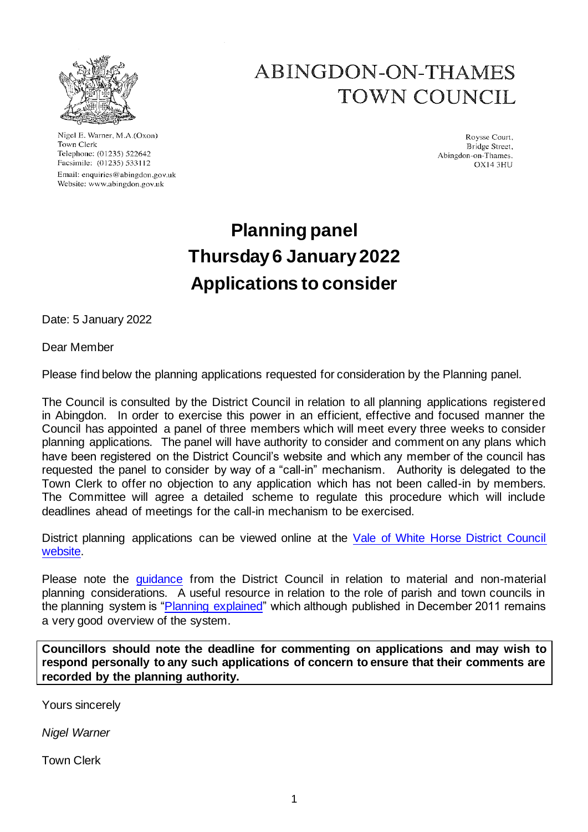

Nigel E. Warner, M.A.(Oxon) Town Clerk Telephone: (01235) 522642 Facsimile: (01235) 533112 Email: enquiries@abingdon.gov.uk Website: www.abingdon.gov.uk

# ABINGDON-ON-THAMES TOWN COUNCIL

Roysse Court. Bridge Street, Abingdon-on-Thames. **OX14 3HU** 

# **Planning panel Thursday6 January 2022 Applications to consider**

Date: 5 January 2022

# Dear Member

Please find below the planning applications requested for consideration by the Planning panel.

The Council is consulted by the District Council in relation to all planning applications registered in Abingdon. In order to exercise this power in an efficient, effective and focused manner the Council has appointed a panel of three members which will meet every three weeks to consider planning applications. The panel will have authority to consider and comment on any plans which have been registered on the District Council's website and which any member of the council has requested the panel to consider by way of a "call-in" mechanism. Authority is delegated to the Town Clerk to offer no objection to any application which has not been called-in by members. The Committee will agree a detailed scheme to regulate this procedure which will include deadlines ahead of meetings for the call-in mechanism to be exercised.

District planning applications can be viewed online at the [Vale of White Horse District Council](https://www.whitehorsedc.gov.uk/vale-of-white-horse-district-council/planning-and-development/local-plan-and-planning-policies/planning-registers/planning-application-register/)  [website.](https://www.whitehorsedc.gov.uk/vale-of-white-horse-district-council/planning-and-development/local-plan-and-planning-policies/planning-registers/planning-application-register/)

Please note the quidance from the District Council in relation to material and non-material planning considerations. A useful resource in relation to the role of parish and town councils in the planning system is ["Planning explained"](https://www.cpre.org.uk/resources/planning-explained/) which although published in December 2011 remains a very good overview of the system.

**Councillors should note the deadline for commenting on applications and may wish to respond personally to any such applications of concern to ensure that their comments are recorded by the planning authority.**

Yours sincerely

*Nigel Warner*

Town Clerk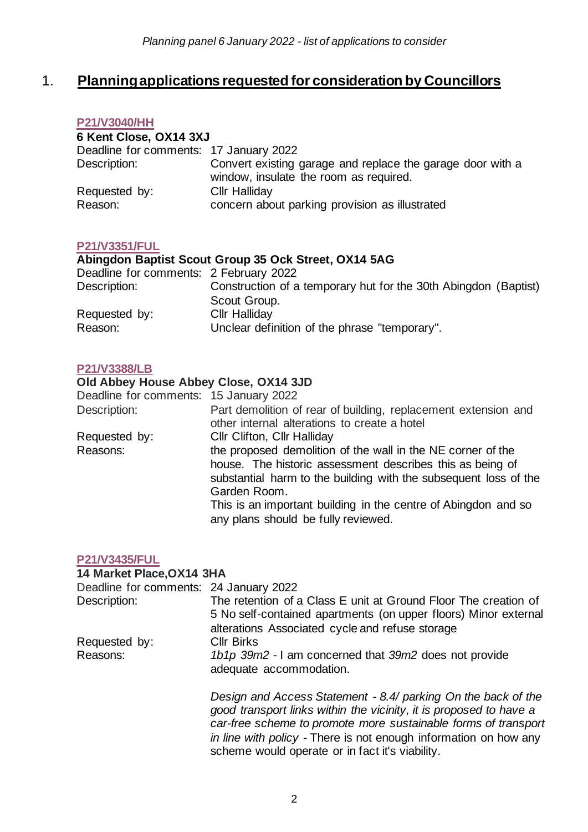# 1. **Planning applications requested for consideration by Councillors**

#### **[P21/V3040/HH](https://emea01.safelinks.protection.outlook.com/?url=https%3A%2F%2Fdata.whitehorsedc.gov.uk%2Fjava%2Fsupport%2FMain.jsp%3FMODULE%3DApplicationDetails%26REF%3DP21%2FV3040%2FHH&data=04%7C01%7C%7Ce6fea000b85b49bb9c5108d9d05d4520%7C84df9e7fe9f640afb435aaaaaaaaaaaa%7C1%7C0%7C637769921285556323%7CUnknown%7CTWFpbGZsb3d8eyJWIjoiMC4wLjAwMDAiLCJQIjoiV2luMzIiLCJBTiI6Ik1haWwiLCJXVCI6Mn0%3D%7C3000&sdata=49tvvJGYcMZ6k1NZ3iyNUpLnxdtbrXoxPoFnWgXCrkM%3D&reserved=0)**

| 6 Kent Close, OX14 3XJ                 |                                                                                                      |  |
|----------------------------------------|------------------------------------------------------------------------------------------------------|--|
| Deadline for comments: 17 January 2022 |                                                                                                      |  |
| Description:                           | Convert existing garage and replace the garage door with a<br>window, insulate the room as required. |  |
| Requested by:                          | <b>Cllr Halliday</b>                                                                                 |  |
| Reason:                                | concern about parking provision as illustrated                                                       |  |

## **[P21/V3351/FUL](https://emea01.safelinks.protection.outlook.com/?url=https%3A%2F%2Fdata.whitehorsedc.gov.uk%2Fjava%2Fsupport%2FMain.jsp%3FMODULE%3DApplicationDetails%26REF%3DP21%2FV3351%2FFUL&data=04%7C01%7C%7Ce6fea000b85b49bb9c5108d9d05d4520%7C84df9e7fe9f640afb435aaaaaaaaaaaa%7C1%7C0%7C637769921285516340%7CUnknown%7CTWFpbGZsb3d8eyJWIjoiMC4wLjAwMDAiLCJQIjoiV2luMzIiLCJBTiI6Ik1haWwiLCJXVCI6Mn0%3D%7C3000&sdata=eTfDep3S8oxg04erESpWY2CXptfHHfpi2ATAZ93Sl6o%3D&reserved=0)**

# **Abingdon Baptist Scout Group 35 Ock Street, OX14 5AG**

| Deadline for comments: 2 February 2022 |                                                                 |
|----------------------------------------|-----------------------------------------------------------------|
| Description:                           | Construction of a temporary hut for the 30th Abingdon (Baptist) |
|                                        | Scout Group.                                                    |
| Requested by:                          | <b>Cllr Halliday</b>                                            |
| Reason:                                | Unclear definition of the phrase "temporary".                   |

#### **[P21/V3388/LB](https://data.whitehorsedc.gov.uk/java/support/Main.jsp?MODULE=ApplicationDetails&REF=P21/V3388/LB)**

#### **Old Abbey House Abbey Close, OX14 3JD**

| Deadline for comments: 15 January 2022 |                                                                                                                                               |
|----------------------------------------|-----------------------------------------------------------------------------------------------------------------------------------------------|
| Description:                           | Part demolition of rear of building, replacement extension and<br>other internal alterations to create a hotel                                |
| Requested by:                          | <b>CIIr Clifton, CIIr Halliday</b>                                                                                                            |
| Reasons:                               | the proposed demolition of the wall in the NE corner of the                                                                                   |
|                                        | house. The historic assessment describes this as being of<br>substantial harm to the building with the subsequent loss of the<br>Garden Room. |
|                                        | This is an important building in the centre of Abingdon and so<br>any plans should be fully reviewed.                                         |

#### **[P21/V3435/FUL](https://data.whitehorsedc.gov.uk/java/support/Main.jsp?MODULE=ApplicationDetails&REF=P21/V3435/FUL)**

| 14 Market Place, OX14 3HA              |                                                                                                                                                                                                                                                                           |
|----------------------------------------|---------------------------------------------------------------------------------------------------------------------------------------------------------------------------------------------------------------------------------------------------------------------------|
| Deadline for comments: 24 January 2022 |                                                                                                                                                                                                                                                                           |
| Description:                           | The retention of a Class E unit at Ground Floor The creation of<br>5 No self-contained apartments (on upper floors) Minor external<br>alterations Associated cycle and refuse storage                                                                                     |
| Requested by:                          | <b>Cllr Birks</b>                                                                                                                                                                                                                                                         |
| Reasons:                               | 1b1p 39m2 - I am concerned that 39m2 does not provide<br>adequate accommodation.                                                                                                                                                                                          |
|                                        | Design and Access Statement - 8.4/ parking On the back of the<br>good transport links within the vicinity, it is proposed to have a<br>car-free scheme to promote more sustainable forms of transport<br>in line with policy - There is not enough information on how any |

scheme would operate or in fact it's viability.